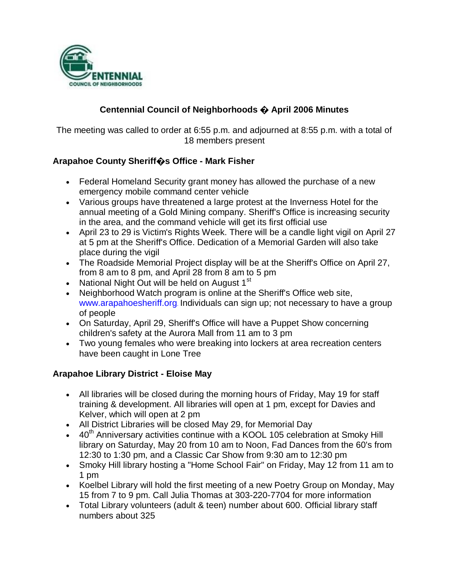

## **Centennial Council of Neighborhoods � April 2006 Minutes**

The meeting was called to order at 6:55 p.m. and adjourned at 8:55 p.m. with a total of 18 members present

### **Arapahoe County Sheriff�s Office - Mark Fisher**

- Federal Homeland Security grant money has allowed the purchase of a new emergency mobile command center vehicle
- Various groups have threatened a large protest at the Inverness Hotel for the annual meeting of a Gold Mining company. Sheriff's Office is increasing security in the area, and the command vehicle will get its first official use
- April 23 to 29 is Victim's Rights Week. There will be a candle light vigil on April 27 at 5 pm at the Sheriff's Office. Dedication of a Memorial Garden will also take place during the vigil
- The Roadside Memorial Project display will be at the Sheriff's Office on April 27, from 8 am to 8 pm, and April 28 from 8 am to 5 pm
- National Night Out will be held on August  $1<sup>st</sup>$
- Neighborhood Watch program is online at the Sheriff's Office web site, www.arapahoesheriff.org. Individuals can sign up; not necessary to have a group of people
- On Saturday, April 29, Sheriff's Office will have a Puppet Show concerning children's safety at the Aurora Mall from 11 am to 3 pm
- Two young females who were breaking into lockers at area recreation centers have been caught in Lone Tree

### **Arapahoe Library District - Eloise May**

- All libraries will be closed during the morning hours of Friday, May 19 for staff training & development. All libraries will open at 1 pm, except for Davies and Kelver, which will open at 2 pm
- All District Libraries will be closed May 29, for Memorial Day
- $\bullet$  40<sup>th</sup> Anniversary activities continue with a KOOL 105 celebration at Smoky Hill library on Saturday, May 20 from 10 am to Noon, Fad Dances from the 60's from 12:30 to 1:30 pm, and a Classic Car Show from 9:30 am to 12:30 pm
- Smoky Hill library hosting a "Home School Fair" on Friday, May 12 from 11 am to 1 pm
- Koelbel Library will hold the first meeting of a new Poetry Group on Monday, May 15 from 7 to 9 pm. Call Julia Thomas at 303-220-7704 for more information
- Total Library volunteers (adult & teen) number about 600. Official library staff numbers about 325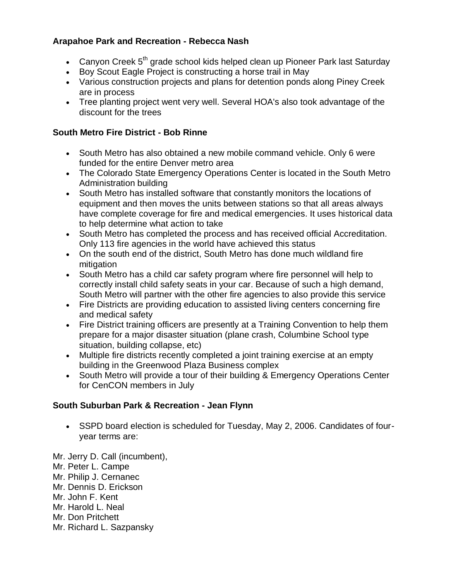### **Arapahoe Park and Recreation - Rebecca Nash**

- Canyon Creek  $5<sup>th</sup>$  grade school kids helped clean up Pioneer Park last Saturday
- Boy Scout Eagle Project is constructing a horse trail in May
- Various construction projects and plans for detention ponds along Piney Creek are in process
- Tree planting project went very well. Several HOA's also took advantage of the discount for the trees

# **South Metro Fire District - Bob Rinne**

- South Metro has also obtained a new mobile command vehicle. Only 6 were funded for the entire Denver metro area
- The Colorado State Emergency Operations Center is located in the South Metro Administration building
- South Metro has installed software that constantly monitors the locations of equipment and then moves the units between stations so that all areas always have complete coverage for fire and medical emergencies. It uses historical data to help determine what action to take
- South Metro has completed the process and has received official Accreditation. Only 113 fire agencies in the world have achieved this status
- On the south end of the district, South Metro has done much wildland fire mitigation
- South Metro has a child car safety program where fire personnel will help to correctly install child safety seats in your car. Because of such a high demand, South Metro will partner with the other fire agencies to also provide this service
- Fire Districts are providing education to assisted living centers concerning fire and medical safety
- Fire District training officers are presently at a Training Convention to help them prepare for a major disaster situation (plane crash, Columbine School type situation, building collapse, etc)
- Multiple fire districts recently completed a joint training exercise at an empty building in the Greenwood Plaza Business complex
- South Metro will provide a tour of their building & Emergency Operations Center for CenCON members in July

# **South Suburban Park & Recreation - Jean Flynn**

 SSPD board election is scheduled for Tuesday, May 2, 2006. Candidates of fouryear terms are:

Mr. Jerry D. Call (incumbent), Mr. Peter L. Campe Mr. Philip J. Cernanec Mr. Dennis D. Erickson Mr. John F. Kent Mr. Harold L. Neal Mr. Don Pritchett Mr. Richard L. Sazpansky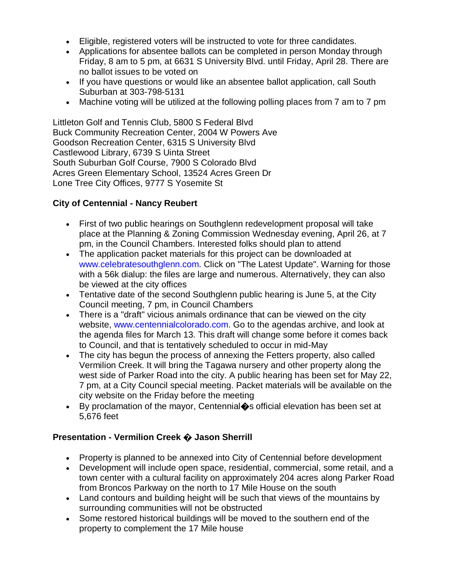- Eligible, registered voters will be instructed to vote for three candidates.
- Applications for absentee ballots can be completed in person Monday through Friday, 8 am to 5 pm, at 6631 S University Blvd. until Friday, April 28. There are no ballot issues to be voted on
- If you have questions or would like an absentee ballot application, call South Suburban at 303-798-5131
- Machine voting will be utilized at the following polling places from 7 am to 7 pm

Littleton Golf and Tennis Club, 5800 S Federal Blvd Buck Community Recreation Center, 2004 W Powers Ave Goodson Recreation Center, 6315 S University Blvd Castlewood Library, 6739 S Uinta Street South Suburban Golf Course, 7900 S Colorado Blvd Acres Green Elementary School, 13524 Acres Green Dr Lone Tree City Offices, 9777 S Yosemite St

#### **City of Centennial - Nancy Reubert**

- First of two public hearings on Southglenn redevelopment proposal will take place at the Planning & Zoning Commission Wednesday evening, April 26, at 7 pm, in the Council Chambers. Interested folks should plan to attend
- The application packet materials for this project can be downloaded at www.celebratesouthglenn.com. Click on "The Latest Update". Warning for those with a 56k dialup: the files are large and numerous. Alternatively, they can also be viewed at the city offices
- Tentative date of the second Southglenn public hearing is June 5, at the City Council meeting, 7 pm, in Council Chambers
- There is a "draft" vicious animals ordinance that can be viewed on the city website, www.centennialcolorado.com. Go to the agendas archive, and look at the agenda files for March 13. This draft will change some before it comes back to Council, and that is tentatively scheduled to occur in mid-May
- The city has begun the process of annexing the Fetters property, also called Vermilion Creek. It will bring the Tagawa nursery and other property along the west side of Parker Road into the city. A public hearing has been set for May 22, 7 pm, at a City Council special meeting. Packet materials will be available on the city website on the Friday before the meeting
- By proclamation of the mayor, Centennial�s official elevation has been set at 5,676 feet

### **Presentation - Vermilion Creek � Jason Sherrill**

- Property is planned to be annexed into City of Centennial before development
- Development will include open space, residential, commercial, some retail, and a town center with a cultural facility on approximately 204 acres along Parker Road from Broncos Parkway on the north to 17 Mile House on the south
- Land contours and building height will be such that views of the mountains by surrounding communities will not be obstructed
- Some restored historical buildings will be moved to the southern end of the property to complement the 17 Mile house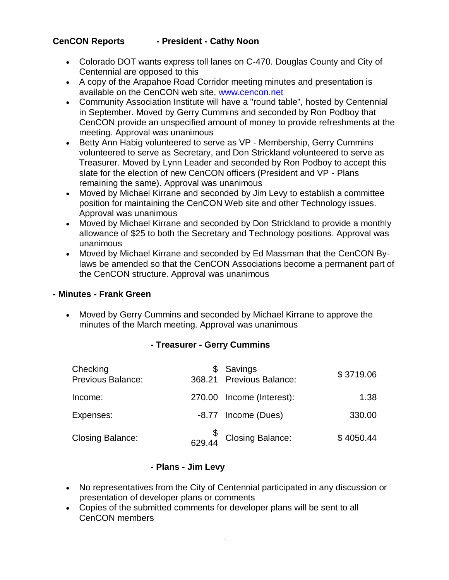### **CenCON Reports - President - Cathy Noon**

- Colorado DOT wants express toll lanes on C-470. Douglas County and City of Centennial are opposed to this
- A copy of the Arapahoe Road Corridor meeting minutes and presentation is available on the CenCON web site, www.cencon.net
- Community Association Institute will have a "round table", hosted by Centennial in September. Moved by Gerry Cummins and seconded by Ron Podboy that CenCON provide an unspecified amount of money to provide refreshments at the meeting. Approval was unanimous
- Betty Ann Habig volunteered to serve as VP Membership, Gerry Cummins volunteered to serve as Secretary, and Don Strickland volunteered to serve as Treasurer. Moved by Lynn Leader and seconded by Ron Podboy to accept this slate for the election of new CenCON officers (President and VP - Plans remaining the same). Approval was unanimous
- Moved by Michael Kirrane and seconded by Jim Levy to establish a committee position for maintaining the CenCON Web site and other Technology issues. Approval was unanimous
- Moved by Michael Kirrane and seconded by Don Strickland to provide a monthly allowance of \$25 to both the Secretary and Technology positions. Approval was unanimous
- Moved by Michael Kirrane and seconded by Ed Massman that the CenCON Bylaws be amended so that the CenCON Associations become a permanent part of the CenCON structure. Approval was unanimous

#### **- Minutes - Frank Green**

 Moved by Gerry Cummins and seconded by Michael Kirrane to approve the minutes of the March meeting. Approval was unanimous

### **- Treasurer - Gerry Cummins**

| Checking<br><b>Previous Balance:</b> | \$ Savings<br>368.21 Previous Balance:                      | \$3719.06 |
|--------------------------------------|-------------------------------------------------------------|-----------|
| Income:                              | 270.00 Income (Interest):                                   | 1.38      |
| Expenses:                            | -8.77 Income (Dues)                                         | 330.00    |
| <b>Closing Balance:</b>              | $\begin{matrix} & \$\\629.44 \end{matrix}$ Closing Balance: | \$4050.44 |

### **- Plans - Jim Levy**

- No representatives from the City of Centennial participated in any discussion or presentation of developer plans or comments
- Copies of the submitted comments for developer plans will be sent to all CenCON members